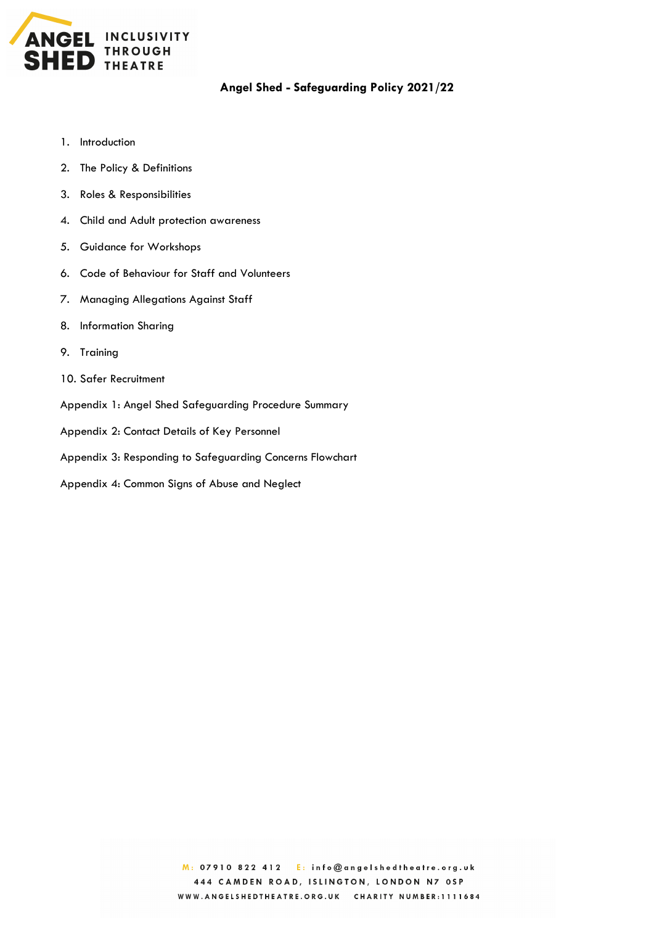

# **Angel Shed - Safeguarding Policy 2021/22**

- 1. Introduction
- 2. The Policy & Definitions
- 3. Roles & Responsibilities
- 4. Child and Adult protection awareness
- 5. Guidance for Workshops
- 6. Code of Behaviour for Staff and Volunteers
- 7. Managing Allegations Against Staff
- 8. Information Sharing
- 9. Training
- 10. Safer Recruitment
- Appendix 1: Angel Shed Safeguarding Procedure Summary
- Appendix 2: Contact Details of Key Personnel
- Appendix 3: Responding to Safeguarding Concerns Flowchart
- Appendix 4: Common Signs of Abuse and Neglect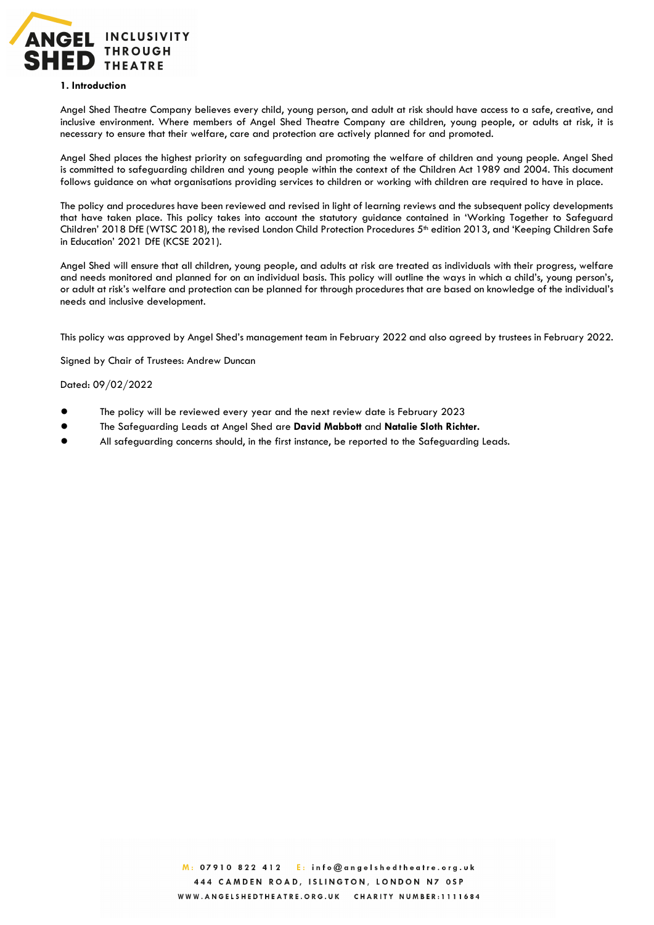

#### **1. Introduction**

Angel Shed Theatre Company believes every child, young person, and adult at risk should have access to a safe, creative, and inclusive environment. Where members of Angel Shed Theatre Company are children, young people, or adults at risk, it is necessary to ensure that their welfare, care and protection are actively planned for and promoted.

Angel Shed places the highest priority on safeguarding and promoting the welfare of children and young people. Angel Shed is committed to safeguarding children and young people within the context of the Children Act 1989 and 2004. This document follows guidance on what organisations providing services to children or working with children are required to have in place.

The policy and procedures have been reviewed and revised in light of learning reviews and the subsequent policy developments that have taken place. This policy takes into account the statutory guidance contained in 'Working Together to Safeguard Children' 2018 DfE (WTSC 2018), the revised London Child Protection Procedures 5<sup>th</sup> edition 2013, and 'Keeping Children Safe in Education' 2021 DfE (KCSE 2021).

Angel Shed will ensure that all children, young people, and adults at risk are treated as individuals with their progress, welfare and needs monitored and planned for on an individual basis. This policy will outline the ways in which a child's, young person's, or adult at risk's welfare and protection can be planned for through procedures that are based on knowledge of the individual's needs and inclusive development.

This policy was approved by Angel Shed's management team in February 2022 and also agreed by trustees in February 2022.

Signed by Chair of Trustees: Andrew Duncan

### Dated: 09/02/2022

- The policy will be reviewed every year and the next review date is February 2023
- The Safeguarding Leads at Angel Shed are **David Mabbott** and **Natalie Sloth Richter.**
- All safeguarding concerns should, in the first instance, be reported to the Safeguarding Leads.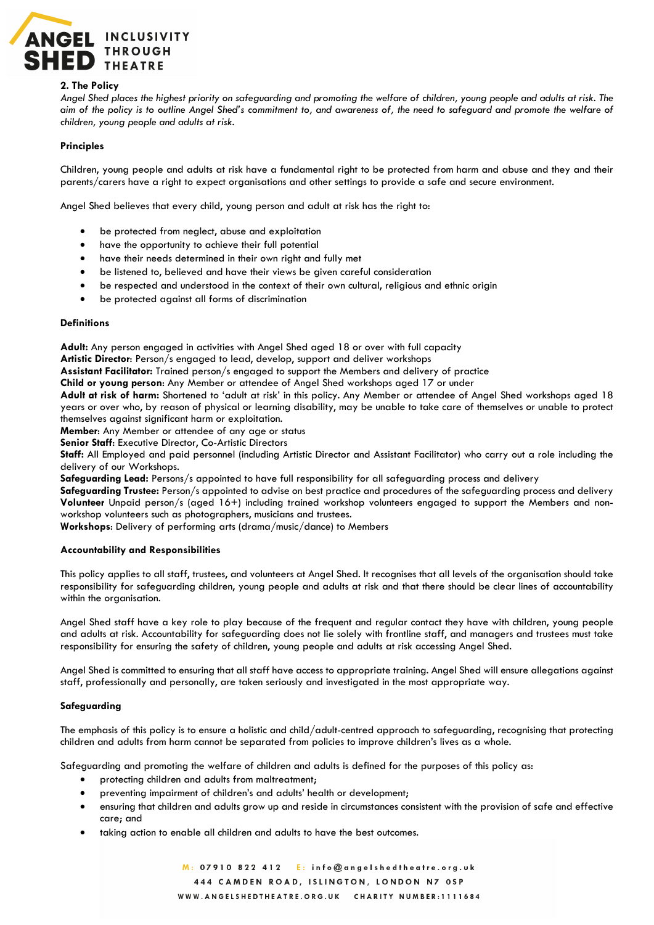

### **2. The Policy**

*Angel Shed places the highest priority on safeguarding and promoting the welfare of children, young people and adults at risk. The aim of the policy is to outline Angel Shed's commitment to, and awareness of, the need to safeguard and promote the welfare of children, young people and adults at risk.*

## **Principles**

Children, young people and adults at risk have a fundamental right to be protected from harm and abuse and they and their parents/carers have a right to expect organisations and other settings to provide a safe and secure environment.

Angel Shed believes that every child, young person and adult at risk has the right to:

- be protected from neglect, abuse and exploitation
- have the opportunity to achieve their full potential
- have their needs determined in their own right and fully met
- be listened to, believed and have their views be given careful consideration
- be respected and understood in the context of their own cultural, religious and ethnic origin
- be protected against all forms of discrimination

#### **Definitions**

**Adult:** Any person engaged in activities with Angel Shed aged 18 or over with full capacity

**Artistic Director**: Person/s engaged to lead, develop, support and deliver workshops

**Assistant Facilitator:** Trained person/s engaged to support the Members and delivery of practice

**Child or young person**: Any Member or attendee of Angel Shed workshops aged 17 or under

**Adult at risk of harm:** Shortened to 'adult at risk' in this policy. Any Member or attendee of Angel Shed workshops aged 18 years or over who, by reason of physical or learning disability, may be unable to take care of themselves or unable to protect themselves against significant harm or exploitation.

**Member**: Any Member or attendee of any age or status

**Senior Staff**: Executive Director, Co-Artistic Directors

**Staff:** All Employed and paid personnel (including Artistic Director and Assistant Facilitator) who carry out a role including the delivery of our Workshops.

**Safeguarding Lead:** Persons/s appointed to have full responsibility for all safeguarding process and delivery

**Safeguarding Trustee:** Person/s appointed to advise on best practice and procedures of the safeguarding process and delivery **Volunteer** Unpaid person/s (aged 16+) including trained workshop volunteers engaged to support the Members and nonworkshop volunteers such as photographers, musicians and trustees.

**Workshops**: Delivery of performing arts (drama/music/dance) to Members

### **Accountability and Responsibilities**

This policy applies to all staff, trustees, and volunteers at Angel Shed. It recognises that all levels of the organisation should take responsibility for safeguarding children, young people and adults at risk and that there should be clear lines of accountability within the organisation.

Angel Shed staff have a key role to play because of the frequent and regular contact they have with children, young people and adults at risk. Accountability for safeguarding does not lie solely with frontline staff, and managers and trustees must take responsibility for ensuring the safety of children, young people and adults at risk accessing Angel Shed.

Angel Shed is committed to ensuring that all staff have access to appropriate training. Angel Shed will ensure allegations against staff, professionally and personally, are taken seriously and investigated in the most appropriate way.

### **Safeguarding**

The emphasis of this policy is to ensure a holistic and child/adult-centred approach to safeguarding, recognising that protecting children and adults from harm cannot be separated from policies to improve children's lives as a whole.

Safeguarding and promoting the welfare of children and adults is defined for the purposes of this policy as:

- protecting children and adults from maltreatment;
- preventing impairment of children's and adults' health or development;
- ensuring that children and adults grow up and reside in circumstances consistent with the provision of safe and effective care; and
- taking action to enable all children and adults to have the best outcomes.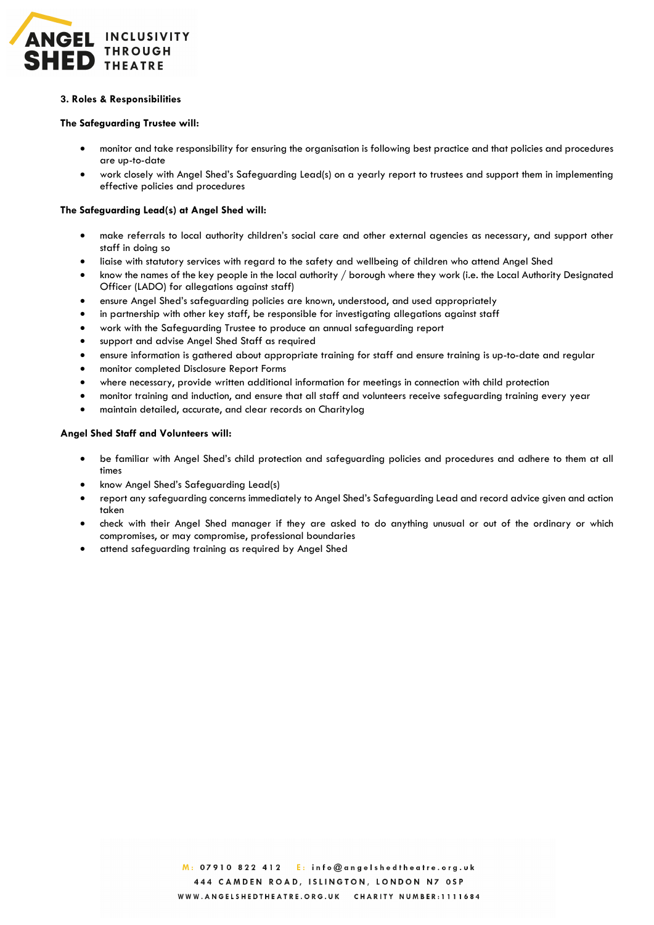

## **3. Roles & Responsibilities**

## **The Safeguarding Trustee will:**

- monitor and take responsibility for ensuring the organisation is following best practice and that policies and procedures are up-to-date
- work closely with Angel Shed's Safeguarding Lead(s) on a yearly report to trustees and support them in implementing effective policies and procedures

## **The Safeguarding Lead(s) at Angel Shed will:**

- make referrals to local authority children's social care and other external agencies as necessary, and support other staff in doing so
- liaise with statutory services with regard to the safety and wellbeing of children who attend Angel Shed
- know the names of the key people in the local authority / borough where they work (i.e. the Local Authority Designated Officer (LADO) for allegations against staff)
- ensure Angel Shed's safeguarding policies are known, understood, and used appropriately
- in partnership with other key staff, be responsible for investigating allegations against staff
- work with the Safeguarding Trustee to produce an annual safeguarding report
- support and advise Angel Shed Staff as required
- ensure information is gathered about appropriate training for staff and ensure training is up-to-date and regular
- monitor completed Disclosure Report Forms
- where necessary, provide written additional information for meetings in connection with child protection
- monitor training and induction, and ensure that all staff and volunteers receive safeguarding training every year
- maintain detailed, accurate, and clear records on Charitylog

### **Angel Shed Staff and Volunteers will:**

- be familiar with Angel Shed's child protection and safeguarding policies and procedures and adhere to them at all times
- know Angel Shed's Safeguarding Lead(s)
- report any safeguarding concerns immediately to Angel Shed's Safeguarding Lead and record advice given and action taken
- check with their Angel Shed manager if they are asked to do anything unusual or out of the ordinary or which compromises, or may compromise, professional boundaries
- attend safeguarding training as required by Angel Shed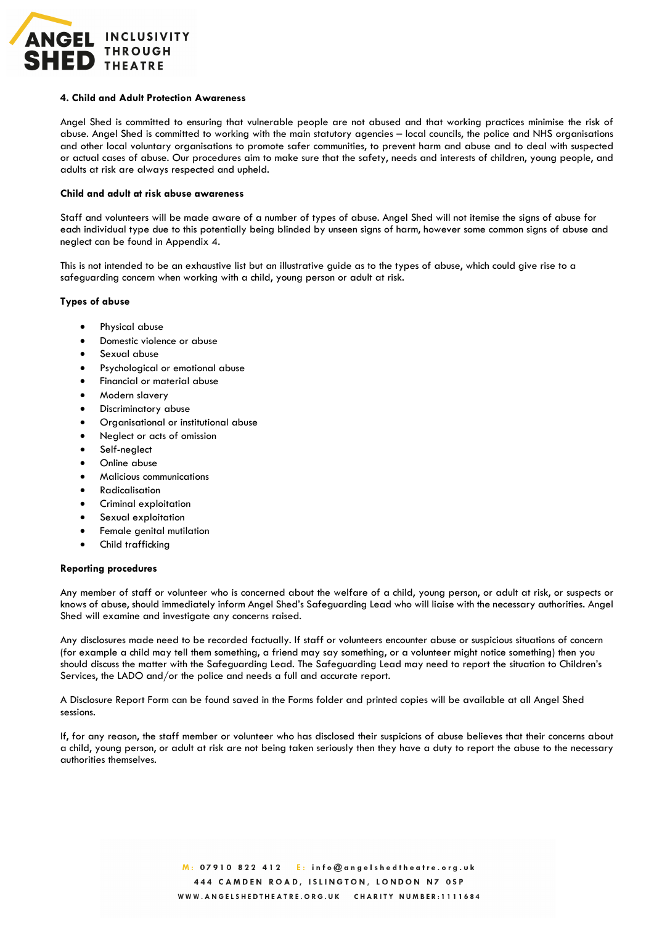

#### **4. Child and Adult Protection Awareness**

Angel Shed is committed to ensuring that vulnerable people are not abused and that working practices minimise the risk of abuse. Angel Shed is committed to working with the main statutory agencies – local councils, the police and NHS organisations and other local voluntary organisations to promote safer communities, to prevent harm and abuse and to deal with suspected or actual cases of abuse. Our procedures aim to make sure that the safety, needs and interests of children, young people, and adults at risk are always respected and upheld.

#### **Child and adult at risk abuse awareness**

Staff and volunteers will be made aware of a number of types of abuse. Angel Shed will not itemise the signs of abuse for each individual type due to this potentially being blinded by unseen signs of harm, however some common signs of abuse and neglect can be found in Appendix 4.

This is not intended to be an exhaustive list but an illustrative guide as to the types of abuse, which could give rise to a safeguarding concern when working with a child, young person or adult at risk.

### **Types of abuse**

- Physical abuse
- Domestic violence or abuse
- Sexual abuse
- Psychological or emotional abuse
- Financial or material abuse
- Modern slavery
- Discriminatory abuse
- Organisational or institutional abuse
- Neglect or acts of omission
- Self-neglect
- Online abuse
- Malicious communications
- **Radicalisation**
- Criminal exploitation
- Sexual exploitation
- Female genital mutilation
- Child trafficking

#### **Reporting procedures**

Any member of staff or volunteer who is concerned about the welfare of a child, young person, or adult at risk, or suspects or knows of abuse, should immediately inform Angel Shed's Safeguarding Lead who will liaise with the necessary authorities. Angel Shed will examine and investigate any concerns raised.

Any disclosures made need to be recorded factually. If staff or volunteers encounter abuse or suspicious situations of concern (for example a child may tell them something, a friend may say something, or a volunteer might notice something) then you should discuss the matter with the Safeguarding Lead. The Safeguarding Lead may need to report the situation to Children's Services, the LADO and/or the police and needs a full and accurate report.

A Disclosure Report Form can be found saved in the Forms folder and printed copies will be available at all Angel Shed sessions.

If, for any reason, the staff member or volunteer who has disclosed their suspicions of abuse believes that their concerns about a child, young person, or adult at risk are not being taken seriously then they have a duty to report the abuse to the necessary authorities themselves.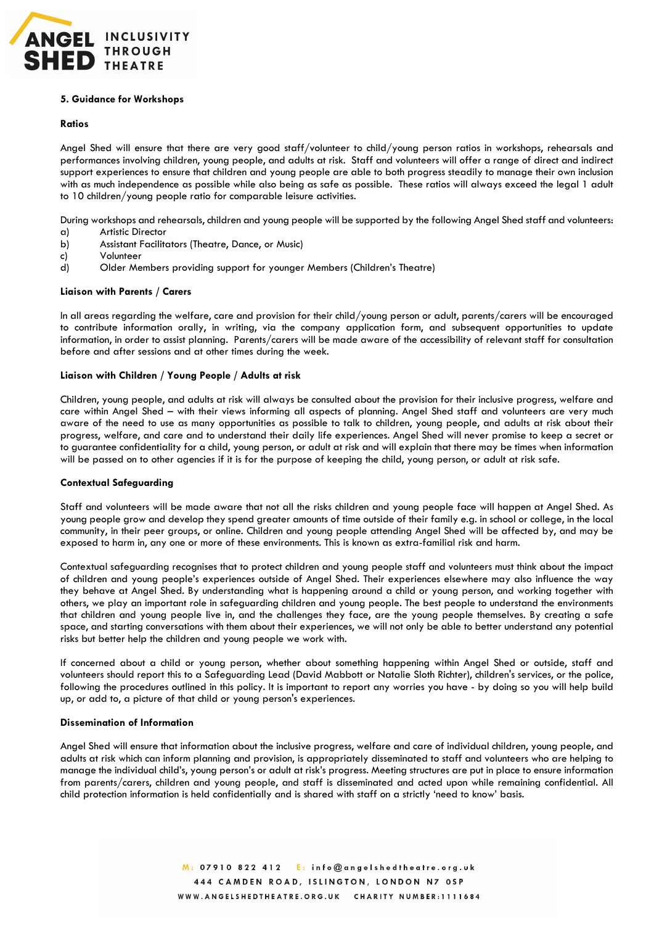

### **5. Guidance for Workshops**

### **Ratios**

Angel Shed will ensure that there are very good staff/volunteer to child/young person ratios in workshops, rehearsals and performances involving children, young people, and adults at risk. Staff and volunteers will offer a range of direct and indirect support experiences to ensure that children and young people are able to both progress steadily to manage their own inclusion with as much independence as possible while also being as safe as possible. These ratios will always exceed the legal 1 adult to 10 children/young people ratio for comparable leisure activities.

During workshops and rehearsals, children and young people will be supported by the following Angel Shed staff and volunteers:

- a) Artistic Director
- b) Assistant Facilitators (Theatre, Dance, or Music)
- c) Volunteer
- d) Older Members providing support for younger Members (Children's Theatre)

### **Liaison with Parents / Carers**

In all areas regarding the welfare, care and provision for their child/young person or adult, parents/carers will be encouraged to contribute information orally, in writing, via the company application form, and subsequent opportunities to update information, in order to assist planning. Parents/carers will be made aware of the accessibility of relevant staff for consultation before and after sessions and at other times during the week.

### **Liaison with Children / Young People / Adults at risk**

Children, young people, and adults at risk will always be consulted about the provision for their inclusive progress, welfare and care within Angel Shed – with their views informing all aspects of planning. Angel Shed staff and volunteers are very much aware of the need to use as many opportunities as possible to talk to children, young people, and adults at risk about their progress, welfare, and care and to understand their daily life experiences. Angel Shed will never promise to keep a secret or to guarantee confidentiality for a child, young person, or adult at risk and will explain that there may be times when information will be passed on to other agencies if it is for the purpose of keeping the child, young person, or adult at risk safe.

### **Contextual Safeguarding**

Staff and volunteers will be made aware that not all the risks children and young people face will happen at Angel Shed. As young people grow and develop they spend greater amounts of time outside of their family e.g. in school or college, in the local community, in their peer groups, or online. Children and young people attending Angel Shed will be affected by, and may be exposed to harm in, any one or more of these environments. This is known as extra-familial risk and harm.

Contextual safeguarding recognises that to protect children and young people staff and volunteers must think about the impact of children and young people's experiences outside of Angel Shed. Their experiences elsewhere may also influence the way they behave at Angel Shed. By understanding what is happening around a child or young person, and working together with others, we play an important role in safeguarding children and young people. The best people to understand the environments that children and young people live in, and the challenges they face, are the young people themselves. By creating a safe space, and starting conversations with them about their experiences, we will not only be able to better understand any potential risks but better help the children and young people we work with.

If concerned about a child or young person, whether about something happening within Angel Shed or outside, staff and volunteers should report this to a Safeguarding Lead (David Mabbott or Natalie Sloth Richter), children's services, or the police, following the procedures outlined in this policy. It is important to report any worries you have - by doing so you will help build up, or add to, a picture of that child or young person's experiences.

### **Dissemination of Information**

Angel Shed will ensure that information about the inclusive progress, welfare and care of individual children, young people, and adults at risk which can inform planning and provision, is appropriately disseminated to staff and volunteers who are helping to manage the individual child's, young person's or adult at risk's progress. Meeting structures are put in place to ensure information from parents/carers, children and young people, and staff is disseminated and acted upon while remaining confidential. All child protection information is held confidentially and is shared with staff on a strictly 'need to know' basis.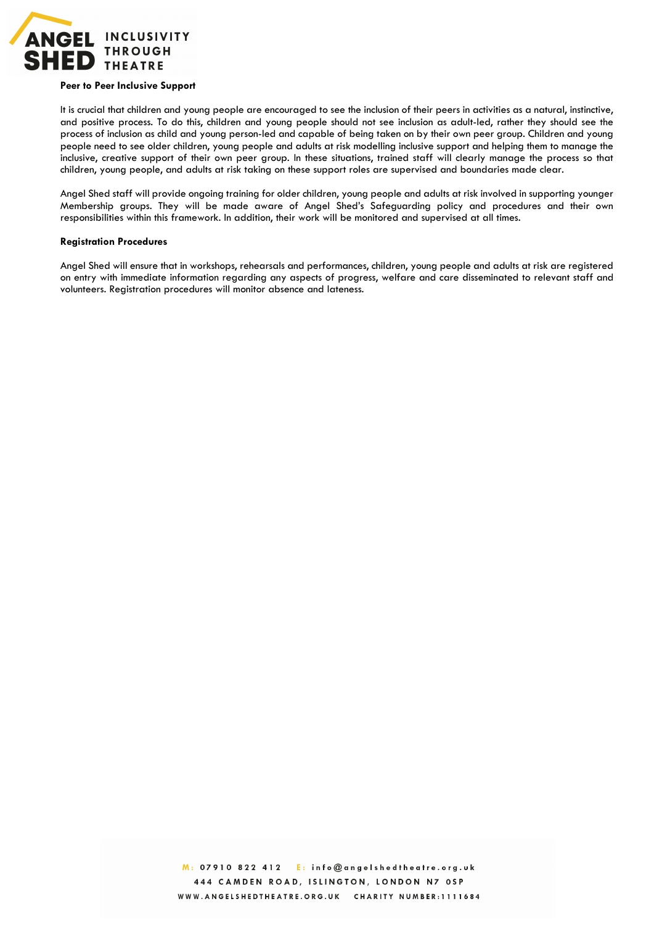

#### **Peer to Peer Inclusive Support**

It is crucial that children and young people are encouraged to see the inclusion of their peers in activities as a natural, instinctive, and positive process. To do this, children and young people should not see inclusion as adult-led, rather they should see the process of inclusion as child and young person-led and capable of being taken on by their own peer group. Children and young people need to see older children, young people and adults at risk modelling inclusive support and helping them to manage the inclusive, creative support of their own peer group. In these situations, trained staff will clearly manage the process so that children, young people, and adults at risk taking on these support roles are supervised and boundaries made clear.

Angel Shed staff will provide ongoing training for older children, young people and adults at risk involved in supporting younger Membership groups. They will be made aware of Angel Shed's Safeguarding policy and procedures and their own responsibilities within this framework. In addition, their work will be monitored and supervised at all times.

#### **Registration Procedures**

Angel Shed will ensure that in workshops, rehearsals and performances, children, young people and adults at risk are registered on entry with immediate information regarding any aspects of progress, welfare and care disseminated to relevant staff and volunteers. Registration procedures will monitor absence and lateness.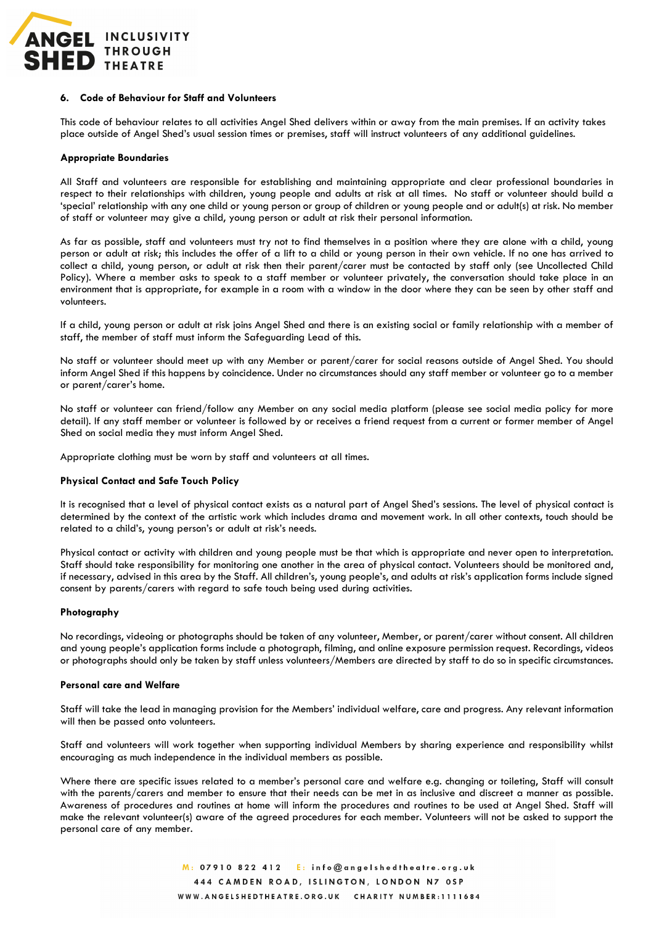

#### **6. Code of Behaviour for Staff and Volunteers**

This code of behaviour relates to all activities Angel Shed delivers within or away from the main premises. If an activity takes place outside of Angel Shed's usual session times or premises, staff will instruct volunteers of any additional guidelines.

#### **Appropriate Boundaries**

All Staff and volunteers are responsible for establishing and maintaining appropriate and clear professional boundaries in respect to their relationships with children, young people and adults at risk at all times. No staff or volunteer should build a 'special' relationship with any one child or young person or group of children or young people and or adult(s) at risk. No member of staff or volunteer may give a child, young person or adult at risk their personal information.

As far as possible, staff and volunteers must try not to find themselves in a position where they are alone with a child, young person or adult at risk; this includes the offer of a lift to a child or young person in their own vehicle. If no one has arrived to collect a child, young person, or adult at risk then their parent/carer must be contacted by staff only (see Uncollected Child Policy). Where a member asks to speak to a staff member or volunteer privately, the conversation should take place in an environment that is appropriate, for example in a room with a window in the door where they can be seen by other staff and volunteers.

If a child, young person or adult at risk joins Angel Shed and there is an existing social or family relationship with a member of staff, the member of staff must inform the Safeguarding Lead of this.

No staff or volunteer should meet up with any Member or parent/carer for social reasons outside of Angel Shed. You should inform Angel Shed if this happens by coincidence. Under no circumstances should any staff member or volunteer go to a member or parent/carer's home.

No staff or volunteer can friend/follow any Member on any social media platform (please see social media policy for more detail). If any staff member or volunteer is followed by or receives a friend request from a current or former member of Angel Shed on social media they must inform Angel Shed.

Appropriate clothing must be worn by staff and volunteers at all times.

### **Physical Contact and Safe Touch Policy**

It is recognised that a level of physical contact exists as a natural part of Angel Shed's sessions. The level of physical contact is determined by the context of the artistic work which includes drama and movement work. In all other contexts, touch should be related to a child's, young person's or adult at risk's needs.

Physical contact or activity with children and young people must be that which is appropriate and never open to interpretation. Staff should take responsibility for monitoring one another in the area of physical contact. Volunteers should be monitored and, if necessary, advised in this area by the Staff. All children's, young people's, and adults at risk's application forms include signed consent by parents/carers with regard to safe touch being used during activities.

### **Photography**

No recordings, videoing or photographs should be taken of any volunteer, Member, or parent/carer without consent. All children and young people's application forms include a photograph, filming, and online exposure permission request. Recordings, videos or photographs should only be taken by staff unless volunteers/Members are directed by staff to do so in specific circumstances.

#### **Personal care and Welfare**

Staff will take the lead in managing provision for the Members' individual welfare, care and progress. Any relevant information will then be passed onto volunteers.

Staff and volunteers will work together when supporting individual Members by sharing experience and responsibility whilst encouraging as much independence in the individual members as possible.

Where there are specific issues related to a member's personal care and welfare e.g. changing or toileting, Staff will consult with the parents/carers and member to ensure that their needs can be met in as inclusive and discreet a manner as possible. Awareness of procedures and routines at home will inform the procedures and routines to be used at Angel Shed. Staff will make the relevant volunteer(s) aware of the agreed procedures for each member. Volunteers will not be asked to support the personal care of any member.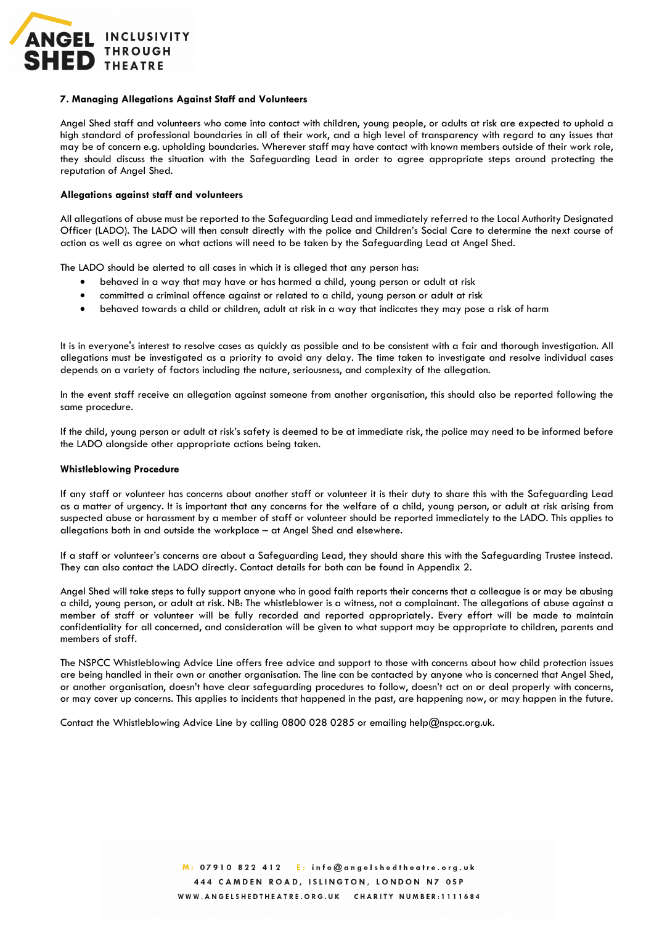

### **7. Managing Allegations Against Staff and Volunteers**

Angel Shed staff and volunteers who come into contact with children, young people, or adults at risk are expected to uphold a high standard of professional boundaries in all of their work, and a high level of transparency with regard to any issues that may be of concern e.g. upholding boundaries. Wherever staff may have contact with known members outside of their work role, they should discuss the situation with the Safeguarding Lead in order to agree appropriate steps around protecting the reputation of Angel Shed.

#### **Allegations against staff and volunteers**

All allegations of abuse must be reported to the Safeguarding Lead and immediately referred to the Local Authority Designated Officer (LADO). The LADO will then consult directly with the police and Children's Social Care to determine the next course of action as well as agree on what actions will need to be taken by the Safeguarding Lead at Angel Shed.

The LADO should be alerted to all cases in which it is alleged that any person has:

- behaved in a way that may have or has harmed a child, young person or adult at risk
- committed a criminal offence against or related to a child, young person or adult at risk
- behaved towards a child or children, adult at risk in a way that indicates they may pose a risk of harm

It is in everyone's interest to resolve cases as quickly as possible and to be consistent with a fair and thorough investigation. All allegations must be investigated as a priority to avoid any delay. The time taken to investigate and resolve individual cases depends on a variety of factors including the nature, seriousness, and complexity of the allegation.

In the event staff receive an allegation against someone from another organisation, this should also be reported following the same procedure.

If the child, young person or adult at risk's safety is deemed to be at immediate risk, the police may need to be informed before the LADO alongside other appropriate actions being taken.

#### **Whistleblowing Procedure**

If any staff or volunteer has concerns about another staff or volunteer it is their duty to share this with the Safeguarding Lead as a matter of urgency. It is important that any concerns for the welfare of a child, young person, or adult at risk arising from suspected abuse or harassment by a member of staff or volunteer should be reported immediately to the LADO. This applies to allegations both in and outside the workplace – at Angel Shed and elsewhere.

If a staff or volunteer's concerns are about a Safeguarding Lead, they should share this with the Safeguarding Trustee instead. They can also contact the LADO directly. Contact details for both can be found in Appendix 2.

Angel Shed will take steps to fully support anyone who in good faith reports their concerns that a colleague is or may be abusing a child, young person, or adult at risk. NB: The whistleblower is a witness, not a complainant. The allegations of abuse against a member of staff or volunteer will be fully recorded and reported appropriately. Every effort will be made to maintain confidentiality for all concerned, and consideration will be given to what support may be appropriate to children, parents and members of staff.

The NSPCC Whistleblowing Advice Line offers free advice and support to those with concerns about how child protection issues are being handled in their own or another organisation. The line can be contacted by anyone who is concerned that Angel Shed, or another organisation, doesn't have clear safeguarding procedures to follow, doesn't act on or deal properly with concerns, or may cover up concerns. This applies to incidents that happened in the past, are happening now, or may happen in the future.

Contact the Whistleblowing Advice Line by calling 0800 028 0285 or emailing help@nspcc.org.uk.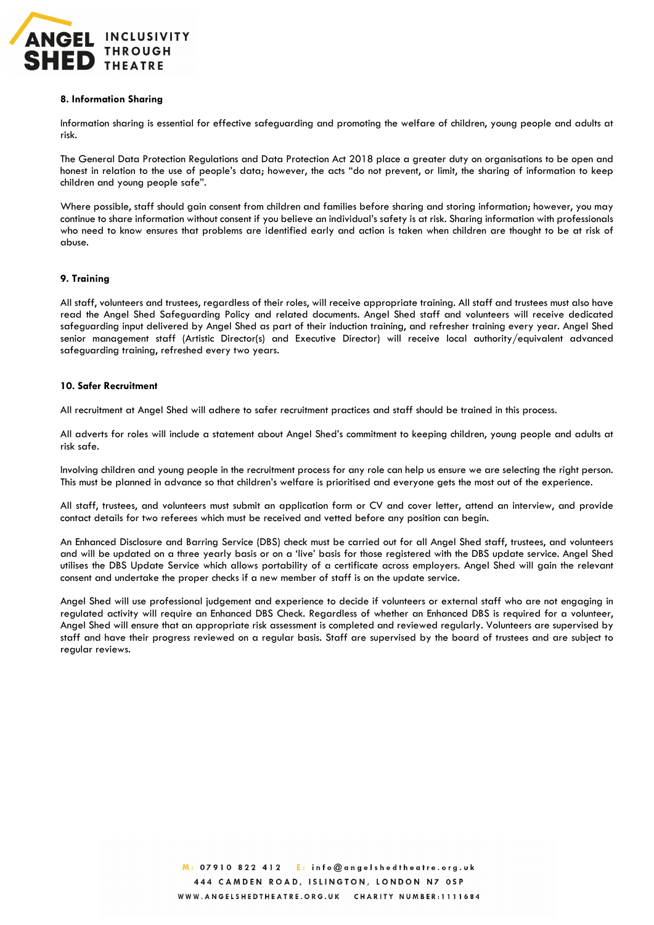

### **8. Information Sharing**

Information sharing is essential for effective safeguarding and promoting the welfare of children, young people and adults at risk.

The General Data Protection Regulations and Data Protection Act 2018 place a greater duty on organisations to be open and honest in relation to the use of people's data; however, the acts "do not prevent, or limit, the sharing of information to keep children and young people safe".

Where possible, staff should gain consent from children and families before sharing and storing information; however, you may continue to share information without consent if you believe an individual's safety is at risk. Sharing information with professionals who need to know ensures that problems are identified early and action is taken when children are thought to be at risk of abuse.

### **9. Training**

All staff, volunteers and trustees, regardless of their roles, will receive appropriate training. All staff and trustees must also have read the Angel Shed Safeguarding Policy and related documents. Angel Shed staff and volunteers will receive dedicated safeguarding input delivered by Angel Shed as part of their induction training, and refresher training every year. Angel Shed senior management staff (Artistic Director(s) and Executive Director) will receive local authority/equivalent advanced safeguarding training, refreshed every two years.

### **10. Safer Recruitment**

All recruitment at Angel Shed will adhere to safer recruitment practices and staff should be trained in this process.

All adverts for roles will include a statement about Angel Shed's commitment to keeping children, young people and adults at risk safe.

Involving children and young people in the recruitment process for any role can help us ensure we are selecting the right person. This must be planned in advance so that children's welfare is prioritised and everyone gets the most out of the experience.

All staff, trustees, and volunteers must submit an application form or CV and cover letter, attend an interview, and provide contact details for two referees which must be received and vetted before any position can begin.

An Enhanced Disclosure and Barring Service (DBS) check must be carried out for all Angel Shed staff, trustees, and volunteers and will be updated on a three yearly basis or on a 'live' basis for those registered with the DBS update service. Angel Shed utilises the DBS Update Service which allows portability of a certificate across employers. Angel Shed will gain the relevant consent and undertake the proper checks if a new member of staff is on the update service.

Angel Shed will use professional judgement and experience to decide if volunteers or external staff who are not engaging in regulated activity will require an Enhanced DBS Check. Regardless of whether an Enhanced DBS is required for a volunteer, Angel Shed will ensure that an appropriate risk assessment is completed and reviewed regularly. Volunteers are supervised by staff and have their progress reviewed on a regular basis. Staff are supervised by the board of trustees and are subject to regular reviews.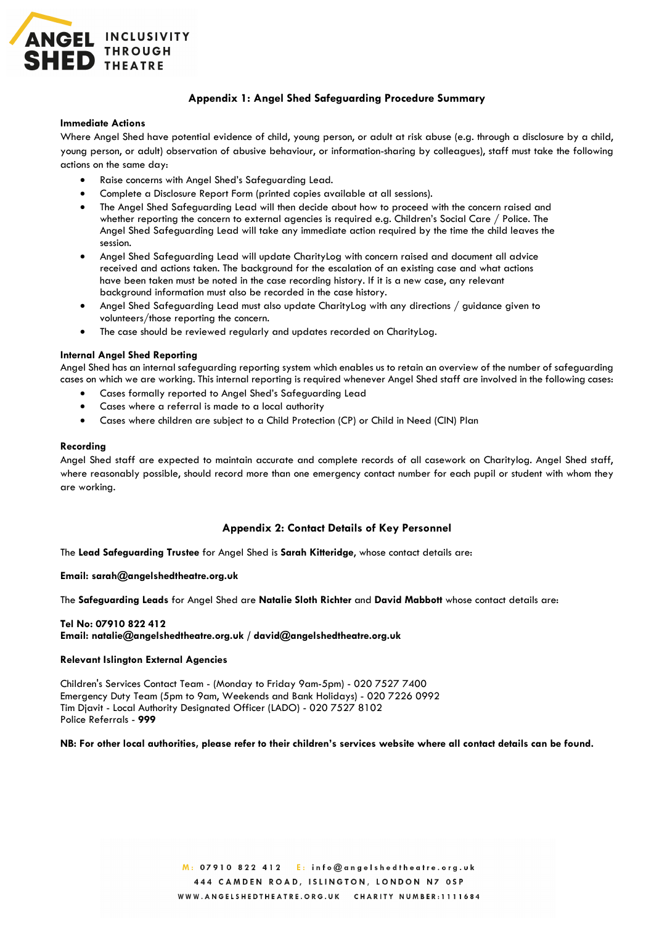

## **Appendix 1: Angel Shed Safeguarding Procedure Summary**

#### **Immediate Actions**

Where Angel Shed have potential evidence of child, young person, or adult at risk abuse (e.g. through a disclosure by a child, young person, or adult) observation of abusive behaviour, or information-sharing by colleagues), staff must take the following actions on the same day:

- Raise concerns with Angel Shed's Safeguarding Lead.
- Complete a Disclosure Report Form (printed copies available at all sessions).
- The Angel Shed Safeguarding Lead will then decide about how to proceed with the concern raised and whether reporting the concern to external agencies is required e.g. Children's Social Care / Police. The Angel Shed Safeguarding Lead will take any immediate action required by the time the child leaves the session.
- Angel Shed Safeguarding Lead will update CharityLog with concern raised and document all advice received and actions taken. The background for the escalation of an existing case and what actions have been taken must be noted in the case recording history. If it is a new case, any relevant background information must also be recorded in the case history.
- Angel Shed Safeguarding Lead must also update CharityLog with any directions / guidance given to volunteers/those reporting the concern.
- The case should be reviewed regularly and updates recorded on CharityLog.

### **Internal Angel Shed Reporting**

Angel Shed has an internal safeguarding reporting system which enables us to retain an overview of the number of safeguarding cases on which we are working. This internal reporting is required whenever Angel Shed staff are involved in the following cases:

- Cases formally reported to Angel Shed's Safeguarding Lead
- Cases where a referral is made to a local authority
- Cases where children are subject to a Child Protection (CP) or Child in Need (CIN) Plan

#### **Recording**

Angel Shed staff are expected to maintain accurate and complete records of all casework on Charitylog. Angel Shed staff, where reasonably possible, should record more than one emergency contact number for each pupil or student with whom they are working.

### **Appendix 2: Contact Details of Key Personnel**

The **Lead Safeguarding Trustee** for Angel Shed is **Sarah Kitteridge**, whose contact details are:

**Email: sarah@angelshedtheatre.org.uk**

The **Safeguarding Leads** for Angel Shed are **Natalie Sloth Richter** and **David Mabbott** whose contact details are:

### **Tel No: 07910 822 412 Email: natalie@angelshedtheatre.org.uk / david@angelshedtheatre.org.uk**

#### **Relevant Islington External Agencies**

Children's Services Contact Team - (Monday to Friday 9am-5pm) - 020 7527 7400 Emergency Duty Team (5pm to 9am, Weekends and Bank Holidays) - 020 7226 0992 Tim Djavit - Local Authority Designated Officer (LADO) - 020 7527 8102 Police Referrals - **999**

## **NB: For other local authorities, please refer to their children's services website where all contact details can be found.**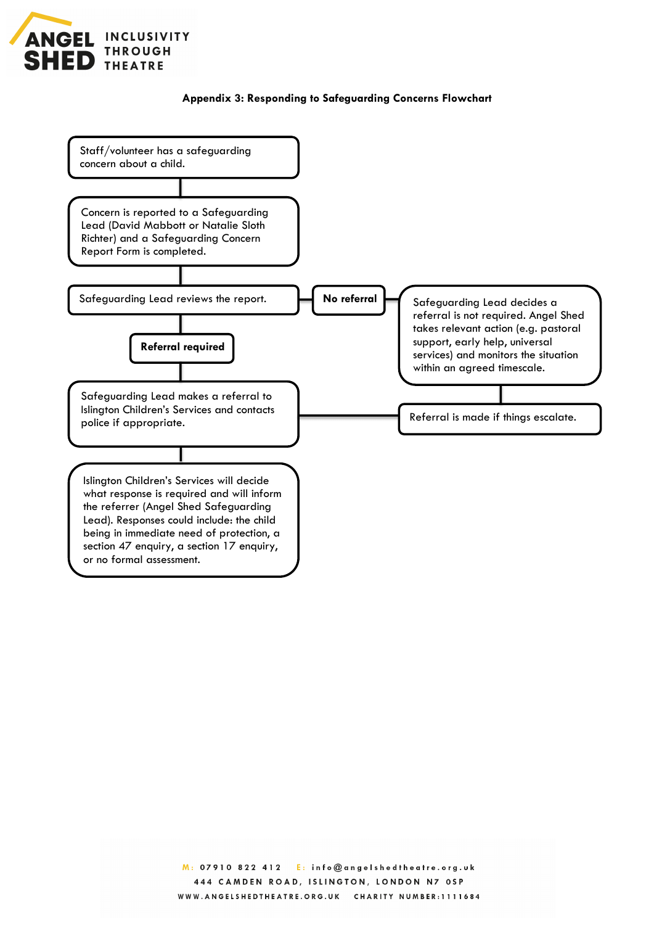

# **Appendix 3: Responding to Safeguarding Concerns Flowchart**